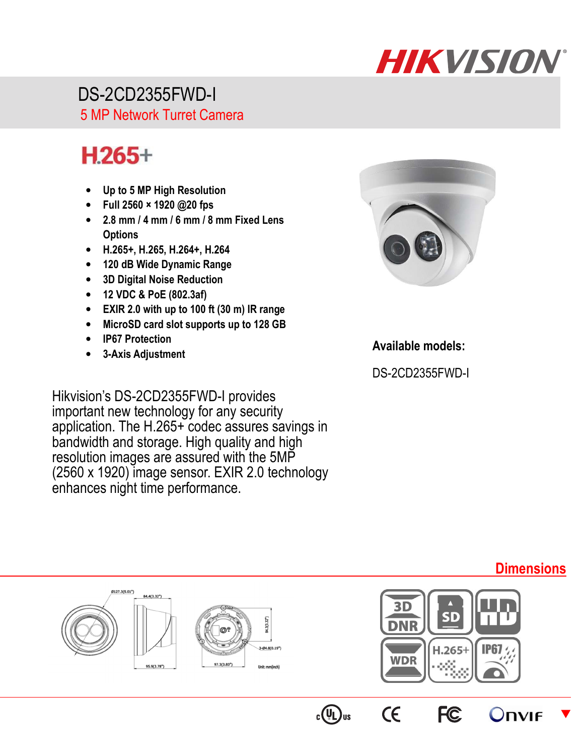# **HIKVISION**

 DS-2CD2355FWD-I 5 MP Network Turret Camera

## $H.265+$

- **Up to 5 MP High Resolution**
- **Full 2560 × 1920 @20 fps**
- **2.8 mm / 4 mm / 6 mm / 8 mm Fixed Lens Options**
- **H.265+, H.265, H.264+, H.264**
- **120 dB Wide Dynamic Range**
- **3D Digital Noise Reduction**
- **12 VDC & PoE (802.3af)**
- **EXIR 2.0 with up to 100 ft (30 m) IR range**
- **MicroSD card slot supports up to 128 GB**
- **IP67 Protection**
- **3-Axis Adjustment**

Hikvision's DS-2CD2355FWD-I provides important new technology for any security application. The H.265+ codec assures savings in bandwidth and storage. High quality and high resolution images are assured with the 5MP (2560 x 1920) image sensor. EXIR 2.0 technology enhances night time performance.



### **Available models:**

DS-2CD2355FWD-I

#### (127.3(5.01") 84,4(3.32") SD 84.3(3.32")  $H.265+$ **IP67 WDR** Unit: mm(inch)  $\epsilon$ **FC**  $c(U_L)$ us **Onvie**  $\blacktriangledown$

## **Dimensions**